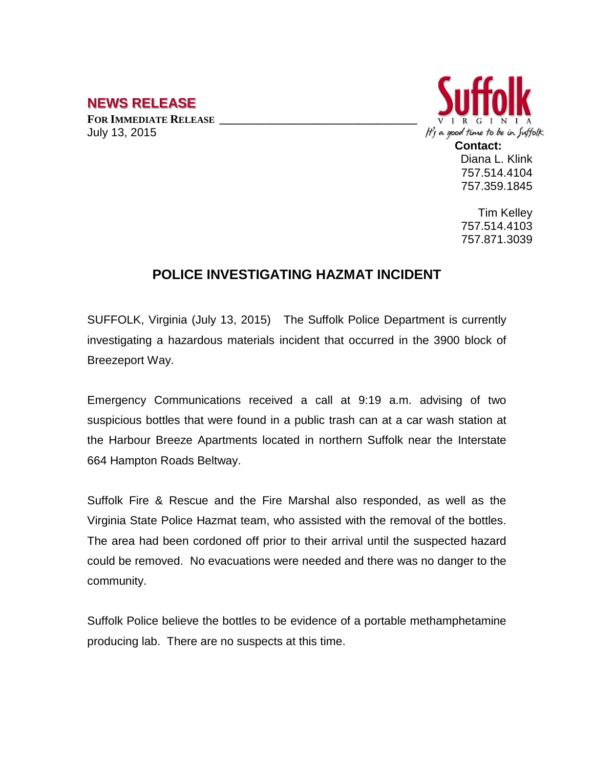## **NEWS RELEASE**

**FOR IMMEDIATE RELEASE \_\_\_\_\_\_\_\_\_\_\_\_\_\_\_\_\_\_\_\_\_\_\_\_\_\_\_\_\_\_\_\_\_\_** July 13, 2015



757.514.4104 757.359.1845

Tim Kelley 757.514.4103 757.871.3039

## **POLICE INVESTIGATING HAZMAT INCIDENT**

SUFFOLK, Virginia (July 13, 2015) The Suffolk Police Department is currently investigating a hazardous materials incident that occurred in the 3900 block of Breezeport Way.

Emergency Communications received a call at 9:19 a.m. advising of two suspicious bottles that were found in a public trash can at a car wash station at the Harbour Breeze Apartments located in northern Suffolk near the Interstate 664 Hampton Roads Beltway.

Suffolk Fire & Rescue and the Fire Marshal also responded, as well as the Virginia State Police Hazmat team, who assisted with the removal of the bottles. The area had been cordoned off prior to their arrival until the suspected hazard could be removed. No evacuations were needed and there was no danger to the community.

Suffolk Police believe the bottles to be evidence of a portable methamphetamine producing lab. There are no suspects at this time.